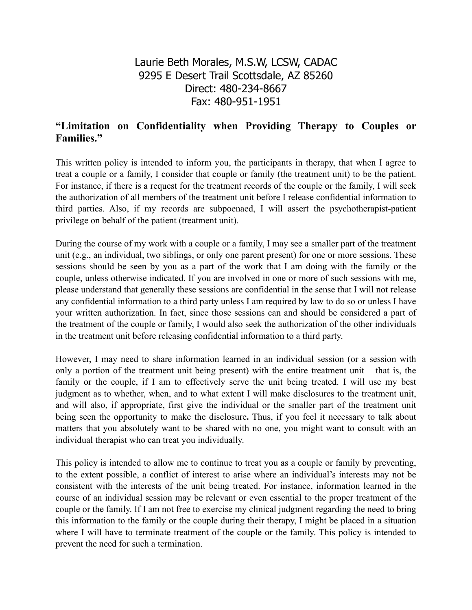## Laurie Beth Morales, M.S.W, LCSW, CADAC 9295 E Desert Trail Scottsdale, AZ 85260 Direct: 480-234-8667 Fax: 480-951-1951

## **"Limitation on Confidentiality when Providing Therapy to Couples or Families."**

This written policy is intended to inform you, the participants in therapy, that when I agree to treat a couple or a family, I consider that couple or family (the treatment unit) to be the patient. For instance, if there is a request for the treatment records of the couple or the family, I will seek the authorization of all members of the treatment unit before I release confidential information to third parties. Also, if my records are subpoenaed, I will assert the psychotherapist-patient privilege on behalf of the patient (treatment unit).

During the course of my work with a couple or a family, I may see a smaller part of the treatment unit (e.g., an individual, two siblings, or only one parent present) for one or more sessions. These sessions should be seen by you as a part of the work that I am doing with the family or the couple, unless otherwise indicated. If you are involved in one or more of such sessions with me, please understand that generally these sessions are confidential in the sense that I will not release any confidential information to a third party unless I am required by law to do so or unless I have your written authorization. In fact, since those sessions can and should be considered a part of the treatment of the couple or family, I would also seek the authorization of the other individuals in the treatment unit before releasing confidential information to a third party.

However, I may need to share information learned in an individual session (or a session with only a portion of the treatment unit being present) with the entire treatment unit – that is, the family or the couple, if I am to effectively serve the unit being treated. I will use my best judgment as to whether, when, and to what extent I will make disclosures to the treatment unit, and will also, if appropriate, first give the individual or the smaller part of the treatment unit being seen the opportunity to make the disclosure**.** Thus, if you feel it necessary to talk about matters that you absolutely want to be shared with no one, you might want to consult with an individual therapist who can treat you individually.

This policy is intended to allow me to continue to treat you as a couple or family by preventing, to the extent possible, a conflict of interest to arise where an individual's interests may not be consistent with the interests of the unit being treated. For instance, information learned in the course of an individual session may be relevant or even essential to the proper treatment of the couple or the family. If I am not free to exercise my clinical judgment regarding the need to bring this information to the family or the couple during their therapy, I might be placed in a situation where I will have to terminate treatment of the couple or the family. This policy is intended to prevent the need for such a termination.